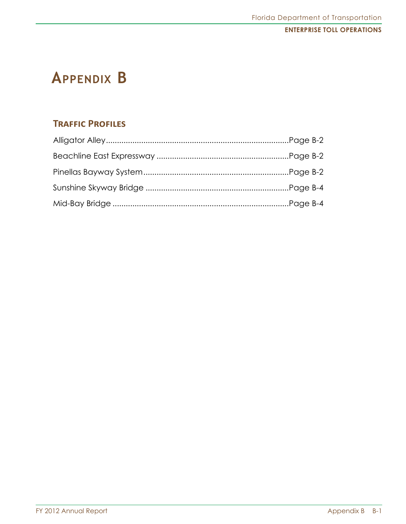# **Appendix B**

# **Traffic Profiles**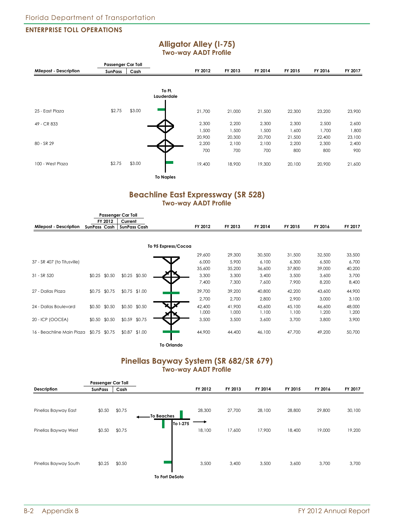#### **Two-way AADT Profile Milepost - Description FY 2012 FY 2013 FY 2014 FY 2015 FY 2016 FY 2017 To Ft. Lauderdale** 25 - East Plaza \$2.75 \$3.00 49 - CR 833 80 - SR 29 100 - West Plaza \$2.75 \$3.00 **To Naples** 21,700 21,000 21,500 22,300 23,200 23,900 2,300 2,200 2,300 2,300 2,500 2,600 1,500 1,500 1,500 1,600 1,700 1,800 20,900 20,300 20,700 21,500 22,400 23,100 2,200 2,100 2,100 2,200 2,300 2,400 700 700 700 800 800 900 19,400 18,900 19,300 20,100 20,900 21,600 **Passenger Car Toll** SunPass **Cash**

**Alligator Alley (I-75)**

## **Beachline East Expressway (SR 528) Two-way AADT Profile**

|                             |                  | <b>Passenger Car Toll</b> |                     |         |         |         |         |         |
|-----------------------------|------------------|---------------------------|---------------------|---------|---------|---------|---------|---------|
|                             | FY 2012          | Current                   |                     |         |         |         |         |         |
| Milepost - Description      | SunPass Cash     | <b>SunPass Cash</b>       | FY 2012             | FY 2013 | FY 2014 | FY 2015 | FY 2016 | FY 2017 |
|                             |                  |                           |                     |         |         |         |         |         |
|                             |                  |                           | To 95 Express/Cocoa |         |         |         |         |         |
|                             |                  |                           | 29,600              | 29,300  | 30,500  | 31,500  | 32,500  | 33,500  |
| 37 - SR 407 (to Titusville) |                  |                           | 6,000               | 5,900   | 6,100   | 6,300   | 6,500   | 6,700   |
|                             |                  |                           | 35,600              | 35,200  | 36,600  | 37,800  | 39,000  | 40,200  |
| 31 - SR 520                 | \$0.25<br>\$0.50 | \$0.25 \$0.50             | 3,300               | 3,300   | 3,400   | 3,500   | 3,600   | 3,700   |
|                             |                  |                           | 7,400               | 7,300   | 7,600   | 7,900   | 8,200   | 8,400   |
| 27 - Dallas Plaza           | \$0.75 \$0.75    | \$0.75 \$1.00             | 39,700              | 39,200  | 40,800  | 42,200  | 43,600  | 44,900  |
|                             |                  |                           | 2,700               | 2.700   | 2,800   | 2,900   | 3,000   | 3,100   |
| 24 - Dallas Boulevard       | \$0.50 \$0.50    | \$0.50 \$0.50             | XIX<br>42,400       | 41,900  | 43,600  | 45,100  | 46,600  | 48,000  |
|                             |                  |                           | 1,000               | 1,000   | 1,100   | 1,100   | 1,200   | 1,200   |
| 20 - ICP (OOCEA)            | \$0.50<br>\$0.50 | \$0.59 \$0.75             | 3,500               | 3,500   | 3,600   | 3,700   | 3,800   | 3,900   |
| 16 - Beachline Main Plaza   | \$0.75 \$0.75    | \$0.87 \$1.00             | 44,900              | 44,400  | 46,100  | 47.700  | 49,200  | 50,700  |

**To Orlando**

## **Pinellas Bayway System (SR 682/SR 679) Two-way AADT Profile**

|                       | <b>Passenger Car Toll</b> |        |                        |         |         |         |         |         |         |
|-----------------------|---------------------------|--------|------------------------|---------|---------|---------|---------|---------|---------|
| Description           | <b>SunPass</b>            | Cash   |                        | FY 2012 | FY 2013 | FY 2014 | FY 2015 | FY 2016 | FY 2017 |
|                       |                           |        |                        |         |         |         |         |         |         |
| Pinellas Bayway East  | \$0.50                    | \$0.75 | To Beaches<br>To I-275 | 28,300  | 27,700  | 28,100  | 28,800  | 29,800  | 30,100  |
| Pinellas Bayway West  | \$0.50                    | \$0.75 |                        | 18,100  | 17,600  | 17,900  | 18,400  | 19,000  | 19,200  |
| Pinellas Bayway South | \$0.25                    | \$0.50 |                        | 3,500   | 3,400   | 3,500   | 3,600   | 3,700   | 3,700   |
|                       |                           |        | To Fort DeSoto         |         |         |         |         |         |         |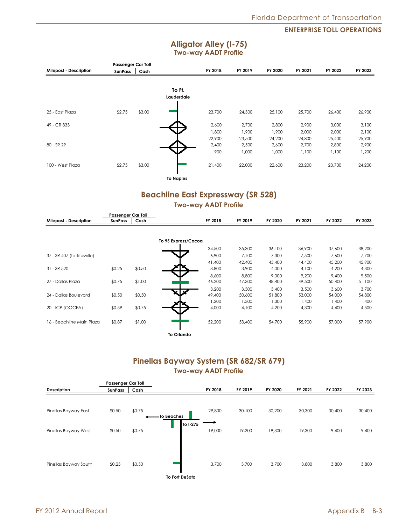## **Alligator Alley (I-75) Two-way AADT Profile**

|                        | Passenger Car Toll |        |                  |         |         |         |         |         |         |
|------------------------|--------------------|--------|------------------|---------|---------|---------|---------|---------|---------|
| Milepost - Description | SunPass            | Cash   |                  | FY 2018 | FY 2019 | FY 2020 | FY 2021 | FY 2022 | FY 2023 |
|                        |                    |        |                  |         |         |         |         |         |         |
|                        |                    |        | To Ft.           |         |         |         |         |         |         |
|                        |                    |        | Lauderdale       |         |         |         |         |         |         |
|                        |                    |        |                  |         |         |         |         |         |         |
| 25 - East Plaza        | \$2.75             | \$3.00 |                  | 23,700  | 24,300  | 25,100  | 25,700  | 26,400  | 26,900  |
|                        |                    |        |                  |         |         |         |         |         |         |
| 49 - CR 833            |                    |        |                  | 2,600   | 2,700   | 2,800   | 2,900   | 3,000   | 3,100   |
|                        |                    |        |                  | 1,800   | 1,900   | 1,900   | 2,000   | 2,000   | 2,100   |
|                        |                    |        |                  | 22,900  | 23,500  | 24,200  | 24,800  | 25,400  | 25,900  |
| 80 - SR 29             |                    |        |                  | 2,400   | 2,500   | 2,600   | 2,700   | 2,800   | 2,900   |
|                        |                    |        |                  | 900     | 1,000   | 1,000   | 1,100   | 1,100   | 1,200   |
| 100 - West Plaza       | \$2.75             | \$3.00 |                  | 21,400  | 22,000  | 22,600  | 23,200  | 23,700  | 24,200  |
|                        |                    |        |                  |         |         |         |         |         |         |
|                        |                    |        | <b>To Naples</b> |         |         |         |         |         |         |

## **Beachline East Expressway (SR 528) Two-way AADT Profile**

|                             | <b>Passenger Car Toll</b> |        |                     |         |         |         |         |         |         |
|-----------------------------|---------------------------|--------|---------------------|---------|---------|---------|---------|---------|---------|
| Milepost - Description      | <b>SunPass</b>            | Cash   |                     | FY 2018 | FY 2019 | FY 2020 | FY 2021 | FY 2022 | FY 2023 |
|                             |                           |        |                     |         |         |         |         |         |         |
|                             |                           |        | To 95 Express/Cocoa |         |         |         |         |         |         |
|                             |                           |        |                     | 34,500  | 35,300  | 36,100  | 36,900  | 37,600  | 38,200  |
| 37 - SR 407 (to Titusville) |                           |        |                     | 6,900   | 7,100   | 7,300   | 7,500   | 7,600   | 7,700   |
|                             |                           |        |                     | 41,400  | 42,400  | 43,400  | 44,400  | 45,200  | 45,900  |
| 31 - SR 520                 | \$0.25                    | \$0.50 |                     | 3,800   | 3,900   | 4,000   | 4,100   | 4,200   | 4,300   |
|                             |                           |        |                     | 8,600   | 8,800   | 9,000   | 9,200   | 9.400   | 9,500   |
| 27 - Dallas Plaza           | \$0.75                    | \$1.00 |                     | 46,200  | 47,300  | 48,400  | 49,500  | 50,400  | 51,100  |
|                             |                           |        |                     | 3,200   | 3,300   | 3,400   | 3,500   | 3,600   | 3,700   |
| 24 - Dallas Boulevard       | \$0.50                    | \$0.50 |                     | 49,400  | 50,600  | 51,800  | 53,000  | 54,000  | 54,800  |
|                             |                           |        |                     | 1,200   | 1,300   | 1,300   | 1,400   | 1,400   | 1,400   |
| 20 - ICP (OOCEA)            | \$0.59                    | \$0.75 |                     | 4,000   | 4,100   | 4,200   | 4,300   | 4,400   | 4,500   |
| 16 - Beachline Main Plaza   | \$0.87                    | \$1.00 |                     | 52,200  | 53,400  | 54,700  | 55,900  | 57,000  | 57,900  |
|                             |                           |        | <b>To Orlando</b>   |         |         |         |         |         |         |

## **Pinellas Bayway System (SR 682/SR 679) Two-way AADT Profile**

|                       | <b>Passenger Car Toll</b> |        |                       |         |         |         |         |         |         |
|-----------------------|---------------------------|--------|-----------------------|---------|---------|---------|---------|---------|---------|
| Description           | <b>SunPass</b>            | Cash   |                       | FY 2018 | FY 2019 | FY 2020 | FY 2021 | FY 2022 | FY 2023 |
|                       |                           |        |                       |         |         |         |         |         |         |
| Pinellas Bayway East  | \$0.50                    | \$0.75 | -To Beaches           | 29,800  | 30,100  | 30,200  | 30,300  | 30,400  | 30,400  |
| Pinellas Bayway West  | \$0.50                    | \$0.75 | To I-275              | 19,000  | 19,200  | 19,300  | 19,300  | 19,400  | 19,400  |
| Pinellas Bayway South | \$0.25                    | \$0.50 |                       | 3,700   | 3,700   | 3,700   | 3,800   | 3,800   | 3,800   |
|                       |                           |        | <b>To Fort DeSoto</b> |         |         |         |         |         |         |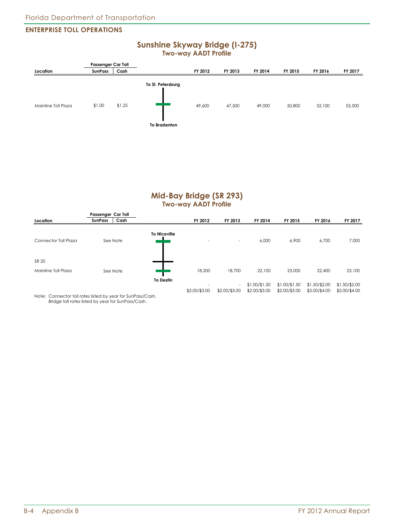## **Sunshine Skyway Bridge (I-275) Two-way AADT Profile**



## **Mid-Bay Bridge (SR 293) Two-way AADT Profile**

|                      | Passenger Car Toll     |                     |                          |                          |                                |                                |                                |                                |
|----------------------|------------------------|---------------------|--------------------------|--------------------------|--------------------------------|--------------------------------|--------------------------------|--------------------------------|
| Location             | Cash<br><b>SunPass</b> |                     | FY 2012                  | FY 2013                  | FY 2014                        | FY 2015                        | FY 2016                        | FY 2017                        |
| Connector Toll Plaza | See Note               | <b>To Niceville</b> | $\overline{\phantom{0}}$ | $\overline{\phantom{a}}$ | 6,000                          | 6,900                          | 6,700                          | 7,000                          |
| SR 20                |                        |                     |                          |                          |                                |                                |                                |                                |
| Mainline Toll Plaza  | See Note               |                     | 18,200                   | 18,700                   | 22,100                         | 23,000                         | 22,400                         | 23,100                         |
| .<br>.               | .                      | <b>To Destin</b>    | \$2.00/\$3.00            | $\sim$<br>\$2.00/\$3.00  | \$1.00/\$1.50<br>\$2.00/\$3.00 | \$1.00/\$1.50<br>\$2.00/\$3.00 | \$1.50/\$2.00<br>\$3.00/\$4.00 | \$1.50/\$2.00<br>\$3.00/\$4.00 |

Note: Connector toll rates listed by year for SunPass/Cash. Bridge toll rates listed by year for SunPass/Cash.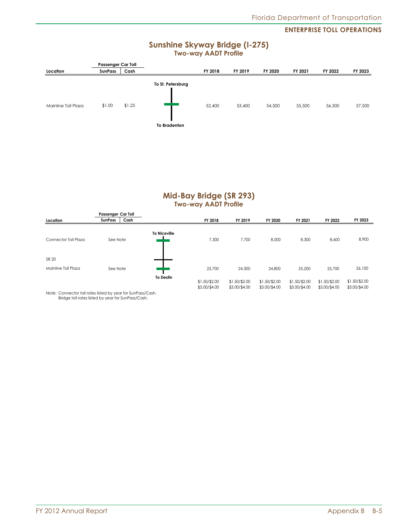## **Sunshine Skyway Bridge (I-275) Two-way AADT Profile**



## **Mid-Bay Bridge (SR 293) Two-way AADT Profile**

| Location                     | Passenger Car Toll<br>Cash<br><b>SunPass</b> |                     | FY 2018                        | FY 2019                        | FY 2020                        | FY 2021                         | FY 2022                         | FY 2023                        |
|------------------------------|----------------------------------------------|---------------------|--------------------------------|--------------------------------|--------------------------------|---------------------------------|---------------------------------|--------------------------------|
| Connector Toll Plaza         | See Note                                     | <b>To Niceville</b> | 7,300                          | 7,700                          | 8,000                          | 8,300                           | 8,600                           | 8,900                          |
| SR 20<br>Mainline Toll Plaza | See Note                                     |                     | 23,700                         | 24,300                         | 24,800                         | 25,200                          | 25,700                          | 26,100                         |
|                              |                                              | <b>To Destin</b>    | \$1.50/\$2.00<br>\$3.00/\$4.00 | \$1.50/\$2.00<br>\$3.00/\$4.00 | \$1.50/\$2.00<br>\$3.00/\$4.00 | $$1.50/\$2.00$<br>\$3.00/\$4.00 | $$1.50/\$2.00$<br>\$3.00/\$4.00 | \$1.50/\$2.00<br>\$3.00/\$4.00 |

Note: Connector toll rates listed by year for SunPass/Cash. Bridge toll rates listed by year for SunPass/Cash.